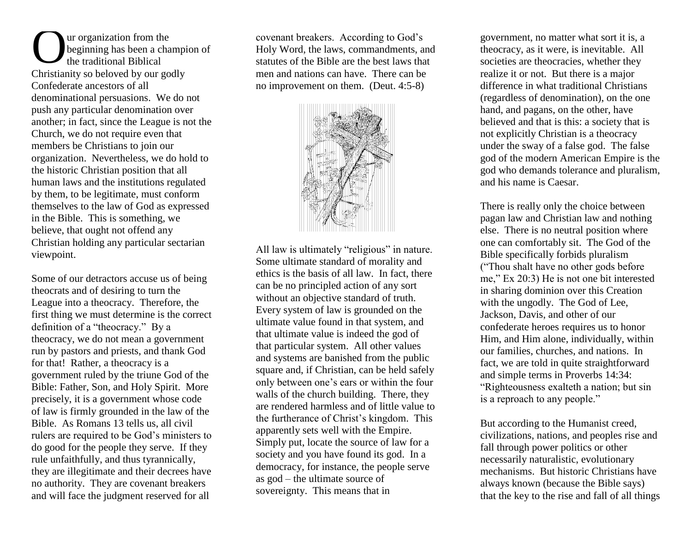ur organization from the beginning has been a champion of the traditional Biblical Christianity so beloved by our godly Confederate ancestors of all denominational persuasions. We do not push any particular denomination over another; in fact, since the League is not the Church, we do not require even that members be Christians to join our organization. Nevertheless, we do hold to the historic Christian position that all human laws and the institutions regulated by them, to be legitimate, must conform themselves to the law of God as expressed in the Bible. This is something, we believe, that ought not offend any Christian holding any particular sectarian viewpoint. O<sub>o</sub>

Some of our detractors accuse us of being theocrats and of desiring to turn the League into a theocracy. Therefore, the first thing we must determine is the correct definition of a "theocracy." By a theocracy, we do not mean a government run by pastors and priests, and thank God for that! Rather, a theocracy is a government ruled by the triune God of the Bible: Father, Son, and Holy Spirit. More precisely, it is a government whose code of law is firmly grounded in the law of the Bible. As Romans 13 tells us, all civil rulers are required to be God's ministers to do good for the people they serve. If they rule unfaithfully, and thus tyrannically, they are illegitimate and their decrees have no authority. They are covenant breakers and will face the judgment reserved for all

covenant breakers. According to God's Holy Word, the laws, commandments, and statutes of the Bible are the best laws that men and nations can have. There can be no improvement on them. (Deut. 4:5-8)



All law is ultimately "religious" in nature. Some ultimate standard of morality and ethics is the basis of all law. In fact, there can be no principled action of any sort without an objective standard of truth. Every system of law is grounded on the ultimate value found in that system, and that ultimate value is indeed the god of that particular system. All other values and systems are banished from the public square and, if Christian, can be held safely only between one's ears or within the four walls of the church building. There, they are rendered harmless and of little value to the furtherance of Christ's kingdom. This apparently sets well with the Empire. Simply put, locate the source of law for a society and you have found its god. In a democracy, for instance, the people serve as god – the ultimate source of sovereignty. This means that in

government, no matter what sort it is, a theocracy, as it were, is inevitable. All societies are theocracies, whether they realize it or not. But there is a major difference in what traditional Christians (regardless of denomination), on the one hand, and pagans, on the other, have believed and that is this: a society that is not explicitly Christian is a theocracy under the sway of a false god. The false god of the modern American Empire is the god who demands tolerance and pluralism, and his name is Caesar.

There is really only the choice between pagan law and Christian law and nothing else. There is no neutral position where one can comfortably sit. The God of the Bible specifically forbids pluralism ("Thou shalt have no other gods before me," Ex 20:3) He is not one bit interested in sharing dominion over this Creation with the ungodly. The God of Lee, Jackson, Davis, and other of our confederate heroes requires us to honor Him, and Him alone, individually, within our families, churches, and nations. In fact, we are told in quite straightforward and simple terms in Proverbs 14:34: "Righteousness exalteth a nation; but sin is a reproach to any people."

But according to the Humanist creed, civilizations, nations, and peoples rise and fall through power politics or other necessarily naturalistic, evolutionary mechanisms. But historic Christians have always known (because the Bible says) that the key to the rise and fall of all things